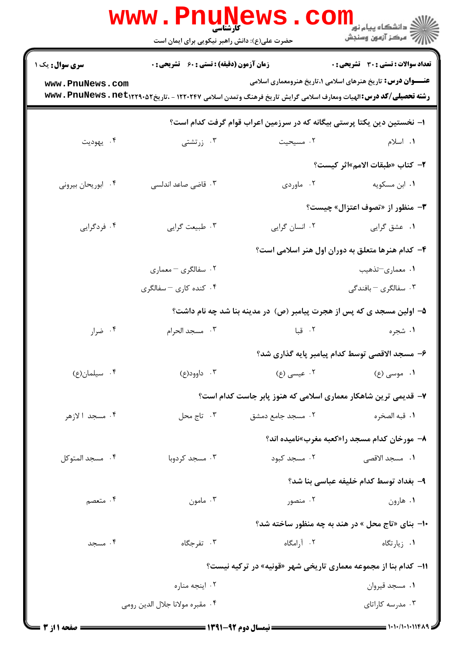|                                                                        | <b>www.Pnuge</b><br>حضرت علی(ع): دانش راهبر نیکویی برای ایمان است |                                                                                                                                        | ڪ دانشڪاه پيام نور<br><mark>ر</mark> ⊂ مرڪز آزمون وسنڊش            |  |  |
|------------------------------------------------------------------------|-------------------------------------------------------------------|----------------------------------------------------------------------------------------------------------------------------------------|--------------------------------------------------------------------|--|--|
| <b>سری سوال :</b> یک ۱                                                 | <b>زمان آزمون (دقیقه) : تستی : 60 ٪ تشریحی : 0</b>                |                                                                                                                                        | <b>تعداد سوالات : تستی : 30 ٪ تشریحی : 0</b>                       |  |  |
| www.PnuNews.com                                                        |                                                                   | <b>رشته تحصیلی/کد درس:</b> الهیات ومعارف اسلامی گرایش تاریخ فرهنگ وتمدن اسلامی ۱۲۲۰۲۴۷ - ،تاریخ۱۲۹۰۵۲۲۳۲۰ <b>. www . PnuNews . net</b> | <b>عنـــوان درس:</b> تاریخ هنرهای اسلامی ۱،تاریخ هنرومعماری اسلامی |  |  |
| ا– نخستین دین یکتا پرستی بیگانه که در سرزمین اعراب قوام گرفت کدام است؟ |                                                                   |                                                                                                                                        |                                                                    |  |  |
| ۰۴ يهوديت                                                              | ۰۳ زرتشتی                                                         | ۰۲ مسیحیت                                                                                                                              | ۰۱ اسلام                                                           |  |  |
|                                                                        |                                                                   |                                                                                                                                        | ۲- كتاب «طبقات الامم»اثر كيست؟                                     |  |  |
| ۰۴ ابوریحان بیرونی                                                     | ۰۳ قاضی صاعد اندلسی                                               |                                                                                                                                        | ۰۱ ابن مسکویه <b>موردی</b> . ۲                                     |  |  |
|                                                                        |                                                                   |                                                                                                                                        | <b>۳</b> - منظور از «تصوف اعتزال» چیست؟                            |  |  |
| ۰۴ فردگرایی                                                            | ۰۳ طبیعت گرایی                                                    | ٠٢ انسان گرايي                                                                                                                         | ۰۱ عشق گرایی                                                       |  |  |
|                                                                        |                                                                   |                                                                                                                                        | ۴- کدام هنرها متعلق به دوران اول هنر اسلامی است؟                   |  |  |
|                                                                        | ۰۲ سفالگری – معماری                                               |                                                                                                                                        | ۰۱ معماري-تذهيب                                                    |  |  |
|                                                                        | ۰۴ کنده کاری – سفالگری                                            |                                                                                                                                        | ۰۳ سفالگری – بافندگی                                               |  |  |
|                                                                        |                                                                   | ۵– اولین مسجد ی که پس از هجرت پیامبر (ص) در مدینه بنا شد چه نام داشت؟                                                                  |                                                                    |  |  |
| ۰۴ ضرار                                                                | ۰۳ مسجد الحرام                                                    | ۰۲ قبا                                                                                                                                 | ۱. شجره                                                            |  |  |
|                                                                        |                                                                   |                                                                                                                                        | ۶– مسجد الاقصی توسط کدام پیامبر پایه گذاری شد؟                     |  |  |
| ۰۴ سیلمان(ع)                                                           | ۰۳ داوود(ع)                                                       | ۰۲ عیسی (ع)                                                                                                                            | ۰۱ موسی (ع)                                                        |  |  |
|                                                                        | ۷– قدیمی ترین شاهکار معماری اسلامی که هنوز پابر جاست کدام است؟    |                                                                                                                                        |                                                                    |  |  |
| ۰۴ مسجد الازهر                                                         | ۰۳ تاج محل                                                        | ۰۲ مسجد جامع دمشق                                                                                                                      | ٠١ قبه الصخره                                                      |  |  |
|                                                                        |                                                                   |                                                                                                                                        | ۸- مورخان کدام مسجد را«کعبه مغرب»نامیده اند؟                       |  |  |
| ۰۴ مسجد المتوكل                                                        | ۰۳ مسجد کردوبا                                                    | ۰۲ مسجد کبود                                                                                                                           | <b>۱.</b> مسجد الاقصی                                              |  |  |
|                                                                        |                                                                   |                                                                                                                                        | ٩- بغداد توسط كدام خليفه عباسى بنا شد؟                             |  |  |
| ۰۴ متعصم                                                               | ۰۳ مامون                                                          | ۰۲ منصور                                                                                                                               | ۰۱ هارون                                                           |  |  |
|                                                                        |                                                                   |                                                                                                                                        | <b>۰۱- بنای «تاج محل » در هند به چه منظور ساخته شد؟</b>            |  |  |
| ۰۴ مسجد                                                                | ۰۳ تفرجگاه                                                        | ۰۲ آرامگاه                                                                                                                             | ۰۱ زیارتگاه                                                        |  |  |
|                                                                        | ۱۱- کدام بنا از مجموعه معماری تاریخی شهر «قونیه» در ترکیه نیست؟   |                                                                                                                                        |                                                                    |  |  |
|                                                                        | ۰۲ اینجه مناره                                                    |                                                                                                                                        | ٠١ مسجد قيروان                                                     |  |  |
|                                                                        | ۰۴ مقبره مولانا جلال الدين رومي                                   |                                                                                                                                        | ۰۳ مدرسه کاراتای                                                   |  |  |
|                                                                        |                                                                   |                                                                                                                                        |                                                                    |  |  |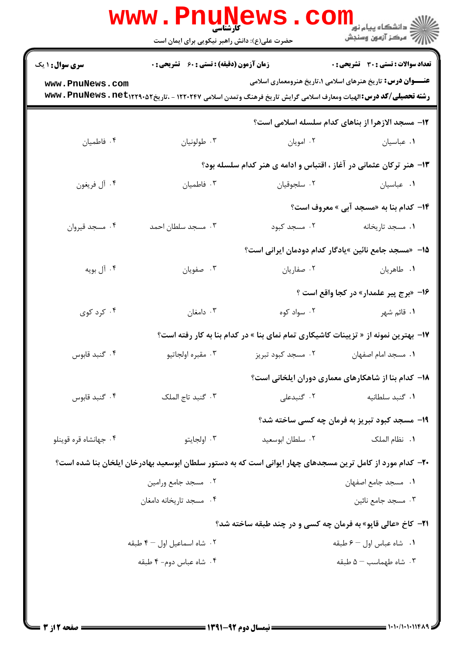|                                                                     | <b>www.PnuNews</b><br>کارشناسی                                                                                                      |                                                                     | اري دانشگاه پيام نو <b>ر</b><br>ا <mark>ر</mark> ≫ مرکز آزمون وسنجش                 |  |  |
|---------------------------------------------------------------------|-------------------------------------------------------------------------------------------------------------------------------------|---------------------------------------------------------------------|-------------------------------------------------------------------------------------|--|--|
|                                                                     | حضرت علی(ع): دانش راهبر نیکویی برای ایمان است                                                                                       |                                                                     |                                                                                     |  |  |
| <b>سری سوال : ۱ یک</b>                                              | <b>زمان آزمون (دقیقه) : تستی : 60 ٪ تشریحی : 0</b>                                                                                  |                                                                     | <b>تعداد سوالات : تستی : 30 ٪ تشریحی : 0</b>                                        |  |  |
| www.PnuNews.com                                                     | <b>رشته تحصیلی/کد درس:</b> الهیات ومعارف اسلامی گرایش تاریخ فرهنگ وتمدن اسلامی ۱۲۲۰۲۴۷ - ،تاریخ۱۲۲۹۰۵۲ <b>: www . PnuNews . net</b> |                                                                     | <b>عنـــوان درس:</b> تاریخ هنرهای اسلامی ۱،تاریخ هنرومعماری اسلامی                  |  |  |
|                                                                     |                                                                                                                                     |                                                                     | 12- مسجد الازهرا از بناهای کدام سلسله اسلامی است؟                                   |  |  |
| ۰۴ فاطميان                                                          | ۰۳ طولونيان                                                                                                                         | ۰۲ امويان                                                           | ٠١ عباسيان                                                                          |  |  |
| ۱۳- هنر ترکان عثمانی در آغاز ، اقتباس و ادامه ی هنر کدام سلسله بود؟ |                                                                                                                                     |                                                                     |                                                                                     |  |  |
| ۰۴ آل فريغون                                                        | ۰۳ فاطميان                                                                                                                          | ٠٢ سلجوقيان                                                         | ۰۱ عباسیان                                                                          |  |  |
|                                                                     |                                                                                                                                     |                                                                     | <b>۱۴- کدام بنا به «مسجد آبی » معروف است؟</b>                                       |  |  |
| ۰۴ مسجد قيروان                                                      | ۰۳ مسجد سلطان احمد                                                                                                                  | ۰۲ مسجد کبود                                                        | ٠١. مسجد تاريخانه                                                                   |  |  |
|                                                                     | ۱۵– «مسجد جامع نائین »یادگار کدام دودمان ایرانی است؟                                                                                |                                                                     |                                                                                     |  |  |
| ۰۴ آل بويه                                                          | ۰۳ صفویان                                                                                                                           | ۰۲ صفاریان                                                          | ۰۱ طاهريان                                                                          |  |  |
|                                                                     |                                                                                                                                     |                                                                     | 16- «برج پیر علمدار» در کجا واقع است ؟                                              |  |  |
| ۰۴ کرد کوی                                                          | ۰۳ دامغان                                                                                                                           | ۰۲ سواد کوه                                                         | ۰۱ قائم شهر                                                                         |  |  |
|                                                                     |                                                                                                                                     |                                                                     | ۱۷- بهترین نمونه از « تزیینات کاشیکاری تمام نمای بنا » در کدام بنا به کار رفته است؟ |  |  |
| ۰۴ گنبد قابوس                                                       |                                                                                                                                     |                                                                     |                                                                                     |  |  |
|                                                                     |                                                                                                                                     |                                                                     | <b>۱۸</b> - کدام بنا از شاهکارهای معماری دوران ایلخانی است؟                         |  |  |
| ۰۴ گنبد قابوس                                                       | ۰۳ گنبد تاج الملک                                                                                                                   | ۰۲ گنبدعلی                                                          | ۰۱ گنبد سلطانیه                                                                     |  |  |
|                                                                     |                                                                                                                                     |                                                                     | ۱۹- مسجد کبود تبریز به فرمان چه کسی ساخته شد؟                                       |  |  |
| ۰۴ جهانشاه قره قوينلو                                               | ۰۳ اولجايتو                                                                                                                         | ۰۲ سلطان ابوسعید                                                    | ٠١. نظام الملک                                                                      |  |  |
|                                                                     | +۲- کدام مورد از کامل ترین مسجدهای چهار ایوانی است که به دستور سلطان ابوسعید بهادرخان ایلخان بنا شده است؟                           |                                                                     |                                                                                     |  |  |
|                                                                     | ٠٢ مسجد جامع ورامين                                                                                                                 |                                                                     | ٠١. مسجد جامع اصفهان                                                                |  |  |
|                                                                     | ۰۴ مسجد تاریخانه دامغان                                                                                                             |                                                                     | ۰۳ مسجد جامع نائين                                                                  |  |  |
|                                                                     |                                                                                                                                     | <b>۲۱</b> - کاخ «عالی قاپو» به فرمان چه کسی و در چند طبقه ساخته شد؟ |                                                                                     |  |  |
|                                                                     | ۰۲ شاه اسماعیل اول – ۴ طبقه                                                                                                         |                                                                     | ٠١ شاه عباس اول - ۶ طبقه                                                            |  |  |
|                                                                     | ۰۴ شاه عباس دوم- ۴ طبقه                                                                                                             |                                                                     | $\Delta - \Delta - \Delta$ ۰۳ شاه طبقه                                              |  |  |
|                                                                     |                                                                                                                                     |                                                                     |                                                                                     |  |  |
|                                                                     |                                                                                                                                     |                                                                     |                                                                                     |  |  |